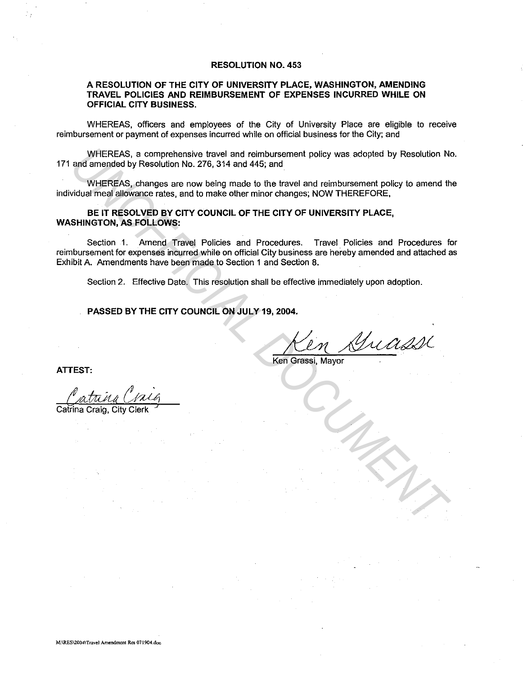### **RESOLUTION NO. 453**

## **A RESOLUTION OF THE CITY OF UNIVERSITY PLACE, WASHINGTON, AMENDING TRAVEL POLICIES AND REIMBURSEMENT OF EXPENSES INCURRED WHILE ON OFFICIAL CITY BUSINESS.**

WHEREAS, officers and employees of the City of University Place are eligible to receive reimbursement or payment of expenses incurred while on official business for the City; and

WHEREAS, a comprehensive travel and reimbursement policy was adopted by Resolution No. 171 and amended by Resolution No. 276, 314 and 445; and

WHEREAS, changes are now being made to the travel and reimbursement policy to amend the individual meal allowance rates, and to make other minor changes; NOW THEREFORE,

### **BE IT RESOLVED BY CITY COUNCIL OF THE CITY OF UNIVERSITY PLACE, WASHINGTON, AS FOLLOWS:**

Section 1. Amend Travel Policies and Procedures. Travel Policies and Procedures for reimbursement for expenses incurred while on official City business are hereby amended and attached as Exhibit A. Amendments have been made to Section 1 and Section 8. WHEREAS, a comprehensive travel and reinbursement policy was adopted by Resolution No.<br>
and amended by Resolution No. 275, 314 and 445; and<br>
WHEREAS, changes are now being made to the travel and reimbursement policy to ame

Section 2. Effective Date. This resolution shall be effective immediately upon adoption.

# **PASSED BY THE CITY COUNCIL ON JULY 19, 2004.**

~~~( Grassi, Mayor

Ken Grassi, Mayor

**ATTEST:** 

Catrina Craig, City

**M:\RES\2004\Travel Amendment Res 071904.doc**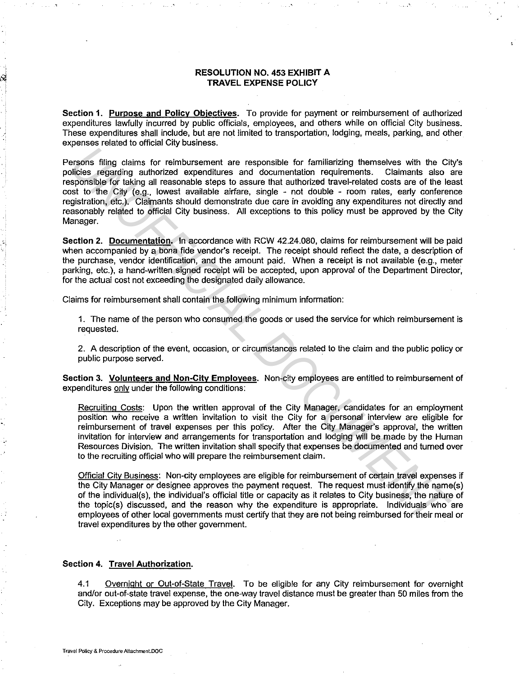### **RESOLUTION NO. 453 EXHIBIT A TRAVEL EXPENSE POLICY**

**Section 1. Purpose and Policy Objectives.** To provide for payment or reimbursement of authorized expenditures lawfully incurred by public officials, employees, and others while on official City business. These expenditures shall include, but are not limited to transportation, lodging, meals, parking, and other expenses related to official City business.

Persons filing claims for reimbursement are responsible for familiarizing themselves with the City's policies regarding authorized expenditures and documentation requirements. Claimants also are responsible for taking all reasonable steps to assure that authorized travel-related costs are of the least cost to the City (e.g., lowest available airfare, single - not double - room rates, early conference registration, etc.). Claimants should demonstrate due care in avoiding any expenditures not directly and reasonably related to official City business. All exceptions to this policy must be approved by the City Manager. **Example Solution** Information and the example in the comparison of the comparisons filing claims for reimbursement are responsible for familiarizing themselves with the Civic-Differe regarding antiforced expending and coc

**Section 2. Documentation.** In accordance with RCW 42.24.080, claims for reimbursement will be paid when accompanied by a bona fide vendor's receipt. The receipt should refiect the date, a description of the purchase, vendor identification, and the amount paid. When a receipt is not available (e.g., meter parking, etc.), a hand-written signed receipt will be accepted, upon approval of the Department Director, for the actual cost not exceeding the designated daily allowance.

Claims for reimbursement shall contain the following minimum information:

1. The name of the person who consumed the goods or used the service for which reimbursement is requested.

2. A description of the event, occasion, or circumstances related to the claim and the public policy or public purpose served.

**Section 3. Volunteers and Non-City Employees.** Non-city employees are entitled to reimbursement of expenditures only under the following conditions:

Recruiting Costs: Upon the written approval of the City Manager, candidates for an employment position who receive a written invitation to visit the City for a personal interview are eligible for reimbursement of travel expenses per this policy. After the City Manager's approval, the written invitation for interview and arrangements for transportation and lodging will be made by the Human Resources Division. The written invitation shall specify that expenses be documented and turned over to the recruiting official who will prepare the reimbursement claim.

Official Citv Business: Non-city employees are eligible for reimbursement of certain travel expenses if the City Manager or designee approves the payment request. The request must identify the name(s) of the individual(s), the individual's official title or capacity as it relates to City business, the nature of the topic(s) discussed, and the reason why the expenditure is appropriate. Individuals who are employees of other local governments must certify that they are not being reimbursed for their meal or travel expenditures by the other government.

#### **Section 4. Travel Authorization.**

4.1 Overnight or Out-of-State Travel. To be eligible for any City reimbursement for overnight and/or out-of-state travel expense, the one-way travel distance must be greater than 50 miles from the City. Exceptions may be approved by the City Manager.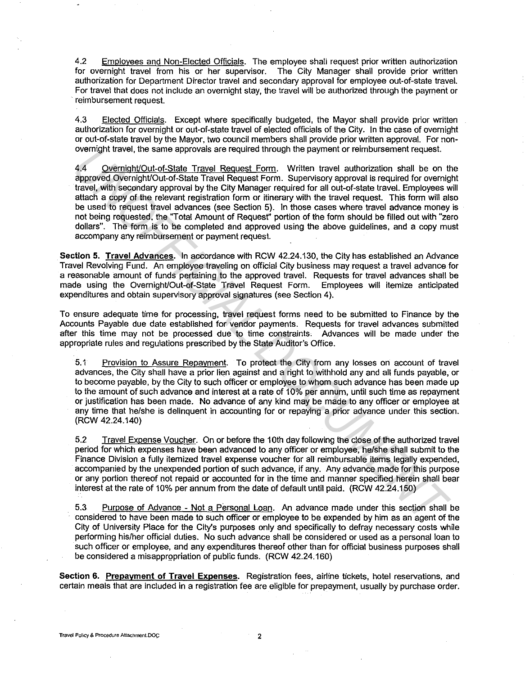4.2 Employees and Non-Elected Officials. The employee shall request prior written authorization for overnight travel from his or her supervisor. The City Manager shall provide prior written authorization for Department Director travel and secondary approval for employee out-of-state travel. For travel that does not include an overnight stay, the travel will be authorized through the payment or reimbursement request.

4.3 Elected Officials. Except where specifically budgeted, the Mayor shall provide prior written authorization for overnight or out-of-state travel of elected officials of the City. In the case of overnight or out-of-state travel by the Mayor, two council members shall provide prior written approval. For nonovernight travel, the same approvals are required through the payment or reimbursement request.

4.4 Overnight/Out-of-State Travel Request Form. Written travel authorization shall be on the approved Overnight/Out-of-State Travel Request Form. Supervisory approval is required for overnight travel, with secondary approval by the City Manager required for all out-of-state travel. Employees will attach a copy of the relevant registration form or itinerary with the travel request. This form will also be used to request travel advances (see Section 5). In those cases where travel advance money is not being requested, the ''Total Amount of Request" portion of the form should be filled out with "zero dollars". The form is to be completed and approved using the above guidelines, and a copy must accompany any reimbursement or payment request. overinght travel, the same approvals are required through the payment or rembursement request<br>of a comparison of the colume of the CM management or the same and that the controlled with secondary approved by the CM Managem

**Section 5. Travel Advances.** In accordance with RCW 42.24.130, the City has established an Advance Travel Revolving Fund. An employee traveling on official City business may request a travel advance for a reasonable amount of funds pertaining to the approved travel. Requests for travel advances shall be made using the Overnight/Out-of-State Travel Request Form. Employees will itemize anticipated expenditures and obtain supervisory approval signatures (see Section 4).

To ensure adequate time for processing, travel request forms need to be submitted to Finance by the Accounts Payable due date established for vendor payments. Requests for travel advances submitted after this time may not be processed due to time constraints, Advances will be made under the appropriate rules and regulations prescribed by the State Auditor's Office.

5.1 Provision to Assure Repayment. To protect the City from any losses on account of travel advances, the City shall have a prior lien against and a right to withhold any and all funds payable, or to become payable, by the City to such officer or employee to whom such advance has been made up to the amount of such advance and interest at a rate of 10% per annum, until such time as repayment or justification has been made. No advance of any kind may be made to any officer or employee at any time that he/she is delinquent in accounting for or repaying a prior advance under this section. (RCW 42.24.140)

5.2 Travel Expense Voucher. On or before the 10th day following the close of the authorized travel period for which expenses have been advanced lo any officer or employee, he/she shall submit to the Finance Division a fully itemized travel expense voucher for all reimbursable items legally expended, accompanied by the unexpended portion of such advance, if any. Any advance made for this purpose or any portion thereof not repaid or accounted for in the time and manner specified herein shall bear interest at the rate of 10% per annum from the date of default until paid. (RCW 42.24.150)

5.3 Purpose of Advance - Not a Personal Loan. An advance made under this section shall be considered to have been made to such officer or employee to be expended by him as an agent of the City of University Place for the City's purposes only and specifically to defray necessary costs while performing his/her official duties. No such advance shall be considered or used as a personal loan to such officer or employee, and any expenditures thereof other than for official business purposes shall be considered a misappropriation of public funds. (RCW 42.24.160)

**Section 6. Prepayment of Travel Expenses.** Registration fees, airline tickets, hotel reservations, and certain meals that are included in a registration fee are eligible for prepayment, usually by purchase order.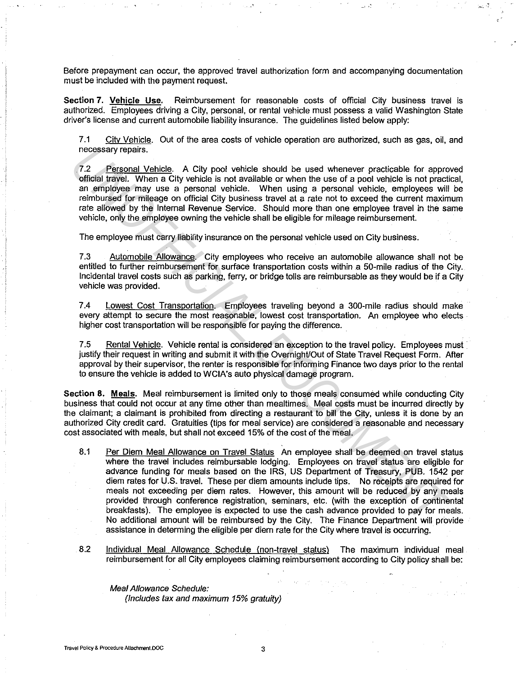Before prepayment can occur, the approved travel authorization form and accompanying documentation must be included with the payment request.

 $\sim$   $^{\circ}$ 

Section 7. Vehicle Use. Reimbursement for reasonable costs of official City business travel is authorized. Employees driving a City, personal, or rental vehicle must possess a valid Washington State driver's license and current automobile liability insurance. The guidelines listed below apply:

7.1 City Vehicle. Out of the area costs of vehicle operation are authorized, such as gas, oil, and necessary repairs.

7 .2 Personal Vehicle. A City pool vehicle should be used whenever practicable for approved official travel. When a City vehicle is not available or when the use of a pool vehicle is not practical, an employee may use a personal vehicle. When using a personal vehicle, employees will be reimbursed for mileage on official City business travel at a rate not to exceed the current maximum rate allowed by the Internal Revenue Service. Should more than one employee travel in the same vehicle, only the employee owning the vehicle shall be eligible for mileage reimbursement.

The employee must carry liability insurance on the personal vehicle used on City business.

7.3 Automobile Allowance. City employees who receive an automobile allowance shall not be entitled to further reimbursement for surface transportation costs within a 50-mile radius of the City. Incidental travel costs such as parking, ferry, or bridge tolls are reimbursable as they would be if a City vehicle was provided.

7.4 Lowest Cost Transportation. Employees traveling beyond a 300-mile radius should make every attempt to secure the most reasonable, lowest cost transportation. An employee who elects higher cost transportation will be responsible for paying the difference.

7.5 Rental Vehicle. Vehicle rental is considered an exception to the travel policy. Employees must justify their request in writing and submit it with the Overnight/Out of State Travel Request Form. After approval by their supervisor, the renter is responsible for informing Finance two days prior to the rental to ensure the vehicle is added to WCIA's auto physical damage program.

Section 8. Meals. Meal reimbursement is limited only to those meals consumed while conducting City business that could not occur at any time other than mealtimes. Meal costs must be incurred directly by the claimant; a claimant is prohibited from directing a restaurant to bill the City, unless it is done by an authorized City credit card. Gratuities (tips for meal service) are considered a reasonable and necessary cost associated with meals, but shall not exceed 15% of the cost of the meal.

- 8.1 Per Diem Meal Allowance on Travel Status An employee shall be deemed on travel status where the travel includes reimbursable lodging. Employees on travel status are eligible for advance funding for meals based on the IRS, US Department of Treasury, PUB. 1542 per diem rates for U.S. travel. These per diem amounts include tips. No receipts are required for meals not exceeding per diem rates. However, this amount will be reduced by any meals provided through conference registration, seminars, etc. (with the exception of continental breakfasts). The employee is expected to use the cash advance provided to pay for meals. No additional amount will be reimbursed by the City. The Finance Department will provide assistance in determing the eligible per diem rate for the City where travel is occurring. necessary repairs.<br>
The <u>regronal Vehicle</u>. A City pool vehicle should be used whenever practicable for approximation with the reactions of the main employes may use a personal vehicle. When a City vehicle is not weisible
	- 8.2 Individual Meal Allowance Schedule (non-travel status) The maximum individual meal reimbursement for all City employees claiming reimbursement according to City policy shall be:

Meal Allowance Schedule:

(Includes tax and maximum 15% gratuity)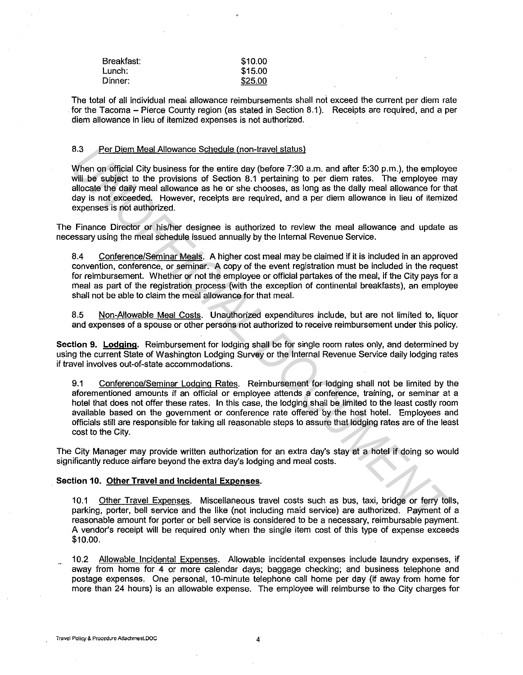| Breakfast: | \$10.00 |
|------------|---------|
| Lunch:     | \$15.00 |
| Dinner:    | \$25.00 |

The total of all individual meal allowance reimbursements shall not exceed the current per diem rate for the Tacoma - Pierce County region (as stated in Section 8.1). Receipts are required, and a per diem allowance in lieu of itemized expenses is not authorized.

### 8.3 Per Diem Meal Allowance Schedule (non-travel status)

When on official City business for the entire day (before 7:30 a.m. and after 5:30 p.m.), the employee will be subject to the provisions of Section 8.1 pertaining to per diem rates. The employee may allocate the daily meal allowance as he or she chooses, as long as the daily meal allowance for that day is not exceeded. However, receipts are required, and a per diem allowance in lieu of itemized expenses is not authorized.

The Finance Director or his/her designee is authorized to review the meal allowance and update as necessary using the meal schedule issued annually by the Internal Revenue Service.

8.4 Conference/Seminar Meals. A higher cost meal may be claimed if it is included in an approved convention, conference, or seminar. A copy of the event registration must be included in the request for reimbursement. Whether or not the employee or official partakes of the meal, if the City pays for a meal as part of the registration process (with the exception of continental breakfasts), an employee shall not be able to claim the meal allowance for that meal.

8.5 Non-Allowable Meal Costs. Unauthorized expenditures include, but are not limited to, liquor and expenses of a spouse or other persons not authorized to receive reimbursement under this policy.

**Section 9. Lodging.** Reimbursement for lodging shall be for single room rates only, and determined by using the current State of Washington Lodging Survey or the Internal Revenue Service daily lodging rates if travel involves out-of-state accommodations.

9.1 Conference/Seminar Lodging Rates. Reimbursement for lodging shall not be limited by the aforementioned amounts if an official or employee attends a conference, training, or seminar at a hotel that does not offer these rates. In this case, the lodging shall be limited to the least costly room available based on the government or conference rate offered by the host hotel. Employees and officials still are responsible for taking all reasonable steps to assure that lodging rates are of the least cost to the City. 8.3 Per Diem Meal Allowance Schedule (non-trave) status)<br>
Will be subject to the provisions of the entire day (bofore 7:30 a.m. and after 5:30 p.m.), the employes<br>
Will be subject to the provisions of Section 8.1 pertainin

The City Manager may provide written authorization for an extra day's stay at a hotel if doing so would significantly reduce airfare beyond the extra day's lodging and meal costs.

#### **Section 10. Other Travel and Incidental Expenses.**

10.1 Other Travel Expenses. Miscellaneous travel costs such as bus, taxi, bridge or ferry tolls, parking, porter, bell service and the like (not including maid service) are authorized. Payment of a reasonable amount for porter or bell service is considered to be a necessary, reimbursable payment. A vendor's receipt will be required only when the single item cost of this type of expense exceeds \$10.00.

10.2 Allowable Incidental Expenses. Allowable incidental expenses include laundry expenses, if away from home for 4 or more calendar days; baggage checking; and business telephone and postage expenses. One personal, 10-minute telephone call home per day (if away from home for more than 24 hours) is an allowable expense. The employee will reimburse to the City charges for